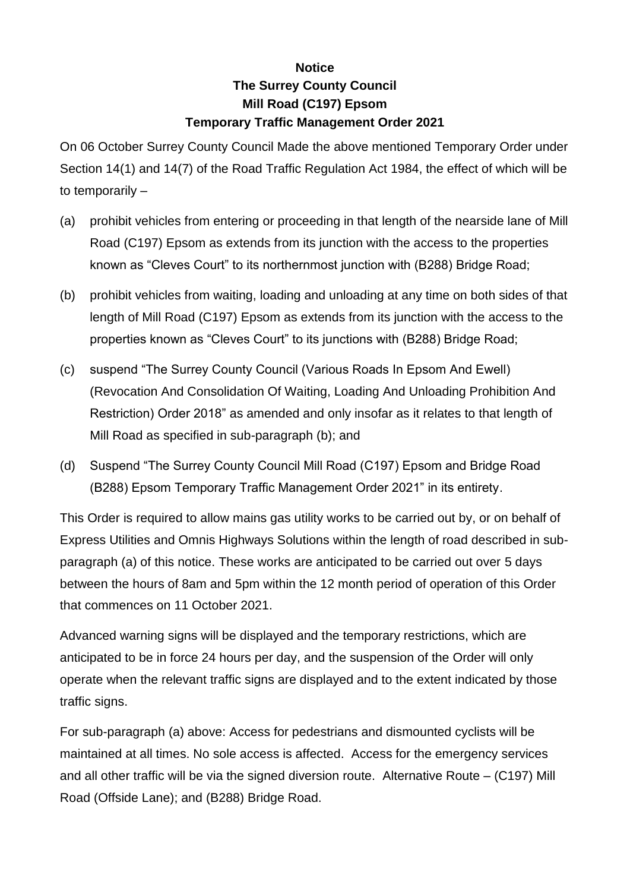## **Notice The Surrey County Council Mill Road (C197) Epsom Temporary Traffic Management Order 2021**

On 06 October Surrey County Council Made the above mentioned Temporary Order under Section 14(1) and 14(7) of the Road Traffic Regulation Act 1984, the effect of which will be to temporarily –

- (a) prohibit vehicles from entering or proceeding in that length of the nearside lane of Mill Road (C197) Epsom as extends from its junction with the access to the properties known as "Cleves Court" to its northernmost junction with (B288) Bridge Road;
- (b) prohibit vehicles from waiting, loading and unloading at any time on both sides of that length of Mill Road (C197) Epsom as extends from its junction with the access to the properties known as "Cleves Court" to its junctions with (B288) Bridge Road;
- (c) suspend "The Surrey County Council (Various Roads In Epsom And Ewell) (Revocation And Consolidation Of Waiting, Loading And Unloading Prohibition And Restriction) Order 2018" as amended and only insofar as it relates to that length of Mill Road as specified in sub-paragraph (b); and
- (d) Suspend "The Surrey County Council Mill Road (C197) Epsom and Bridge Road (B288) Epsom Temporary Traffic Management Order 2021" in its entirety.

This Order is required to allow mains gas utility works to be carried out by, or on behalf of Express Utilities and Omnis Highways Solutions within the length of road described in subparagraph (a) of this notice. These works are anticipated to be carried out over 5 days between the hours of 8am and 5pm within the 12 month period of operation of this Order that commences on 11 October 2021.

Advanced warning signs will be displayed and the temporary restrictions, which are anticipated to be in force 24 hours per day, and the suspension of the Order will only operate when the relevant traffic signs are displayed and to the extent indicated by those traffic signs.

For sub-paragraph (a) above: Access for pedestrians and dismounted cyclists will be maintained at all times. No sole access is affected. Access for the emergency services and all other traffic will be via the signed diversion route. Alternative Route – (C197) Mill Road (Offside Lane); and (B288) Bridge Road.